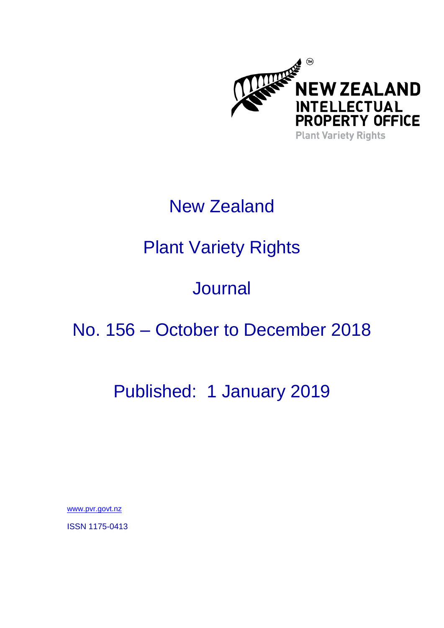

## New Zealand

# Plant Variety Rights

## **Journal**

### No. 156 – October to December 2018

### Published: 1 January 2019

[www.pvr.govt.nz](http://www.pvr.govt.nz/)

ISSN 1175-0413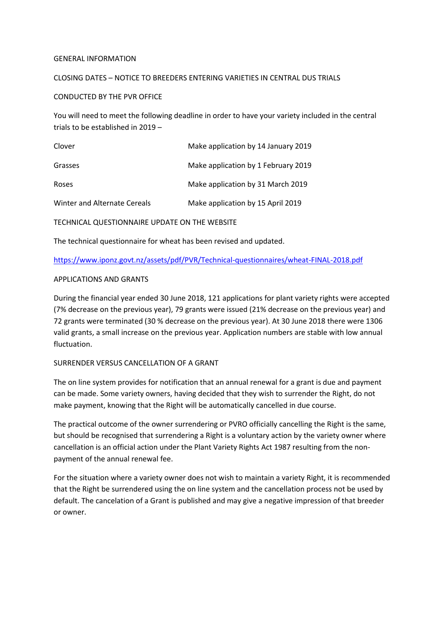#### GENERAL INFORMATION

#### CLOSING DATES – NOTICE TO BREEDERS ENTERING VARIETIES IN CENTRAL DUS TRIALS

#### CONDUCTED BY THE PVR OFFICE

You will need to meet the following deadline in order to have your variety included in the central trials to be established in 2019 –

| Clover                       | Make application by 14 January 2019 |
|------------------------------|-------------------------------------|
| Grasses                      | Make application by 1 February 2019 |
| Roses                        | Make application by 31 March 2019   |
| Winter and Alternate Cereals | Make application by 15 April 2019   |

TECHNICAL QUESTIONNAIRE UPDATE ON THE WEBSITE

The technical questionnaire for wheat has been revised and updated.

<https://www.iponz.govt.nz/assets/pdf/PVR/Technical-questionnaires/wheat-FINAL-2018.pdf>

#### APPLICATIONS AND GRANTS

During the financial year ended 30 June 2018, 121 applications for plant variety rights were accepted (7% decrease on the previous year), 79 grants were issued (21% decrease on the previous year) and 72 grants were terminated (30 % decrease on the previous year). At 30 June 2018 there were 1306 valid grants, a small increase on the previous year. Application numbers are stable with low annual fluctuation.

#### SURRENDER VERSUS CANCELLATION OF A GRANT

The on line system provides for notification that an annual renewal for a grant is due and payment can be made. Some variety owners, having decided that they wish to surrender the Right, do not make payment, knowing that the Right will be automatically cancelled in due course.

The practical outcome of the owner surrendering or PVRO officially cancelling the Right is the same, but should be recognised that surrendering a Right is a voluntary action by the variety owner where cancellation is an official action under the Plant Variety Rights Act 1987 resulting from the nonpayment of the annual renewal fee.

For the situation where a variety owner does not wish to maintain a variety Right, it is recommended that the Right be surrendered using the on line system and the cancellation process not be used by default. The cancelation of a Grant is published and may give a negative impression of that breeder or owner.